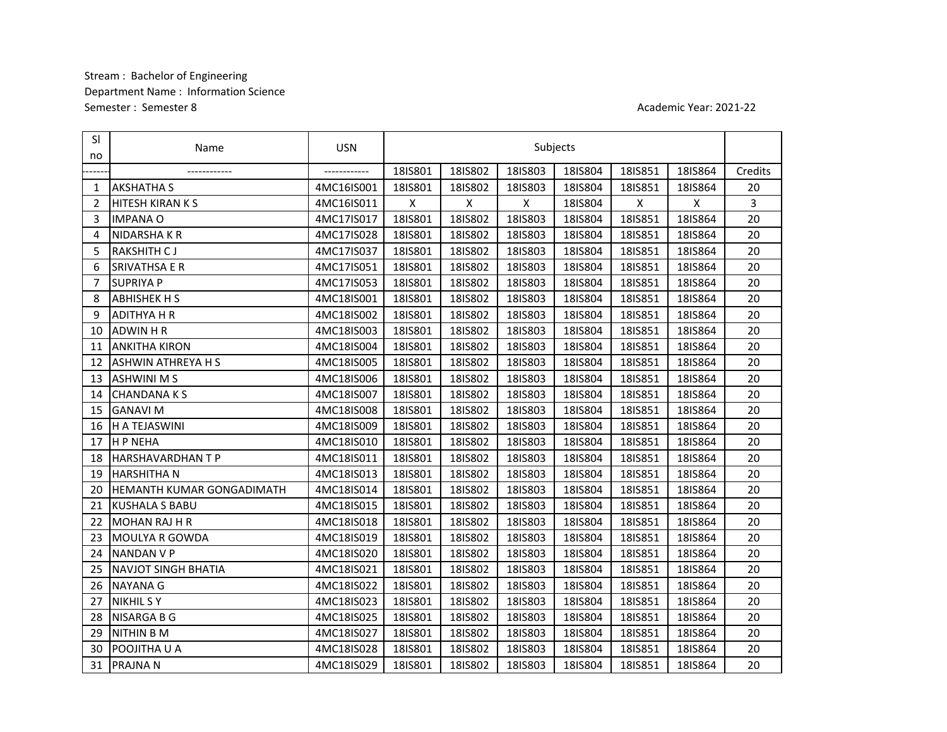## Stream : Bachelor of Engineering Semester : Semester 8 Department Name : Information Science

## Academic Year: 2021-22

| <b>SI</b><br>no | Name                       | <b>USN</b>    | Subjects |         |         |         |         |         |         |
|-----------------|----------------------------|---------------|----------|---------|---------|---------|---------|---------|---------|
|                 | ------------               | ------------- | 18IS801  | 18IS802 | 18IS803 | 18IS804 | 18IS851 | 18IS864 | Credits |
| 1               | <b>AKSHATHA S</b>          | 4MC16IS001    | 18IS801  | 18IS802 | 18IS803 | 18IS804 | 18IS851 | 18IS864 | 20      |
| $\overline{2}$  | <b>HITESH KIRAN K S</b>    | 4MC16IS011    | X        | X       | X       | 18IS804 | X       | X       | 3       |
| 3               | <b>IMPANA O</b>            | 4MC17IS017    | 18IS801  | 18IS802 | 18IS803 | 18IS804 | 18IS851 | 18IS864 | 20      |
| 4               | NIDARSHA K R               | 4MC17IS028    | 18IS801  | 18IS802 | 18IS803 | 18IS804 | 18IS851 | 18IS864 | 20      |
| 5               | RAKSHITH CJ                | 4MC17IS037    | 18IS801  | 18IS802 | 18IS803 | 18IS804 | 18IS851 | 18IS864 | 20      |
| 6               | <b>SRIVATHSA E R</b>       | 4MC17IS051    | 18IS801  | 18IS802 | 18IS803 | 18IS804 | 18IS851 | 18IS864 | 20      |
| $\overline{7}$  | <b>SUPRIYA P</b>           | 4MC17IS053    | 18IS801  | 18IS802 | 18IS803 | 18IS804 | 18IS851 | 18IS864 | 20      |
| 8               | <b>ABHISHEK H S</b>        | 4MC18IS001    | 18IS801  | 18IS802 | 18IS803 | 18IS804 | 18IS851 | 18IS864 | 20      |
| 9               | <b>ADITHYA H R</b>         | 4MC18IS002    | 18IS801  | 18IS802 | 18IS803 | 18IS804 | 18IS851 | 18IS864 | 20      |
| 10              | <b>ADWIN HR</b>            | 4MC18IS003    | 18IS801  | 18IS802 | 18IS803 | 18IS804 | 18IS851 | 18IS864 | 20      |
| 11              | <b>ANKITHA KIRON</b>       | 4MC18IS004    | 18IS801  | 18IS802 | 18IS803 | 18IS804 | 18IS851 | 18IS864 | 20      |
| 12              | <b>ASHWIN ATHREYA H S</b>  | 4MC18IS005    | 18IS801  | 18IS802 | 18IS803 | 18IS804 | 18IS851 | 18IS864 | 20      |
| 13              | <b>ASHWINIMS</b>           | 4MC18IS006    | 18IS801  | 18IS802 | 18IS803 | 18IS804 | 18IS851 | 18IS864 | 20      |
| 14              | <b>CHANDANAKS</b>          | 4MC18IS007    | 18IS801  | 18IS802 | 18IS803 | 18IS804 | 18IS851 | 18IS864 | 20      |
| 15              | <b>GANAVI M</b>            | 4MC18IS008    | 18IS801  | 18IS802 | 18IS803 | 18IS804 | 18IS851 | 18IS864 | 20      |
| 16              | H A TEJASWINI              | 4MC18IS009    | 18IS801  | 18IS802 | 18IS803 | 18IS804 | 18IS851 | 18IS864 | 20      |
| 17              | <b>H P NEHA</b>            | 4MC18IS010    | 18IS801  | 18IS802 | 18IS803 | 18IS804 | 18IS851 | 18IS864 | 20      |
| 18              | <b>HARSHAVARDHANTP</b>     | 4MC18IS011    | 18IS801  | 18IS802 | 18IS803 | 18IS804 | 18IS851 | 18IS864 | 20      |
| 19              | <b>HARSHITHAN</b>          | 4MC18IS013    | 18IS801  | 18IS802 | 18IS803 | 18IS804 | 18IS851 | 18IS864 | 20      |
| 20              | HEMANTH KUMAR GONGADIMATH  | 4MC18IS014    | 18IS801  | 18IS802 | 18IS803 | 18IS804 | 18IS851 | 18IS864 | 20      |
| 21              | <b>KUSHALA S BABU</b>      | 4MC18IS015    | 18IS801  | 18IS802 | 18IS803 | 18IS804 | 18IS851 | 18IS864 | 20      |
| 22              | <b>MOHAN RAJ H R</b>       | 4MC18IS018    | 18IS801  | 18IS802 | 18IS803 | 18IS804 | 18IS851 | 18IS864 | 20      |
| 23              | <b>MOULYA R GOWDA</b>      | 4MC18IS019    | 18IS801  | 18IS802 | 18IS803 | 18IS804 | 18IS851 | 18IS864 | 20      |
| 24              | <b>NANDAN V P</b>          | 4MC18IS020    | 18IS801  | 18IS802 | 18IS803 | 18IS804 | 18IS851 | 18IS864 | 20      |
| 25              | <b>NAVJOT SINGH BHATIA</b> | 4MC18IS021    | 18IS801  | 18IS802 | 18IS803 | 18IS804 | 18IS851 | 18IS864 | 20      |
| 26              | <b>NAYANA G</b>            | 4MC18IS022    | 18IS801  | 18IS802 | 18IS803 | 18IS804 | 18IS851 | 18IS864 | 20      |
| 27              | <b>NIKHIL S Y</b>          | 4MC18IS023    | 18IS801  | 18IS802 | 18IS803 | 18IS804 | 18IS851 | 18IS864 | 20      |
| 28              | <b>NISARGA B G</b>         | 4MC18IS025    | 18IS801  | 18IS802 | 18IS803 | 18IS804 | 18IS851 | 18IS864 | 20      |
| 29              | <b>NITHIN B M</b>          | 4MC18IS027    | 18IS801  | 18IS802 | 18IS803 | 18IS804 | 18IS851 | 18IS864 | 20      |
| 30              | POOJITHA U A               | 4MC18IS028    | 18IS801  | 18IS802 | 18IS803 | 18IS804 | 18IS851 | 18IS864 | 20      |
| 31              | <b>PRAJNAN</b>             | 4MC18IS029    | 18IS801  | 18IS802 | 18IS803 | 18IS804 | 18IS851 | 18IS864 | 20      |